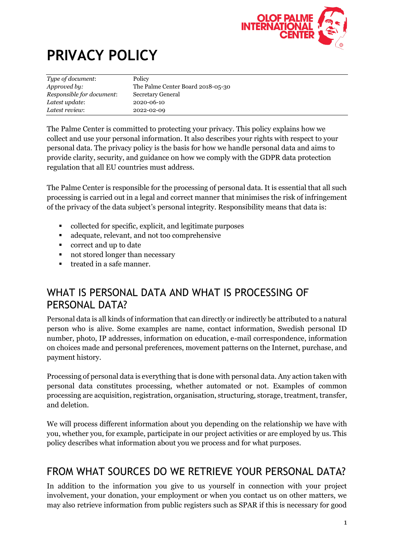

# **PRIVACY POLICY**

| Type of document:         | Policy                            |
|---------------------------|-----------------------------------|
| Approved by:              | The Palme Center Board 2018-05-30 |
| Responsible for document: | Secretary General                 |
| Latest update:            | 2020-06-10                        |
| Latest review:            | 2022-02-09                        |

The Palme Center is committed to protecting your privacy. This policy explains how we collect and use your personal information. It also describes your rights with respect to your personal data. The privacy policy is the basis for how we handle personal data and aims to provide clarity, security, and guidance on how we comply with the GDPR data protection regulation that all EU countries must address.

The Palme Center is responsible for the processing of personal data. It is essential that all such processing is carried out in a legal and correct manner that minimises the risk of infringement of the privacy of the data subject's personal integrity. Responsibility means that data is:

- collected for specific, explicit, and legitimate purposes
- adequate, relevant, and not too comprehensive
- correct and up to date
- not stored longer than necessary
- treated in a safe manner.

### WHAT IS PERSONAL DATA AND WHAT IS PROCESSING OF PERSONAL DATA?

Personal data is all kinds of information that can directly or indirectly be attributed to a natural person who is alive. Some examples are name, contact information, Swedish personal ID number, photo, IP addresses, information on education, e-mail correspondence, information on choices made and personal preferences, movement patterns on the Internet, purchase, and payment history.

Processing of personal data is everything that is done with personal data. Any action taken with personal data constitutes processing, whether automated or not. Examples of common processing are acquisition, registration, organisation, structuring, storage, treatment, transfer, and deletion.

We will process different information about you depending on the relationship we have with you, whether you, for example, participate in our project activities or are employed by us. This policy describes what information about you we process and for what purposes.

### FROM WHAT SOURCES DO WE RETRIEVE YOUR PERSONAL DATA?

In addition to the information you give to us yourself in connection with your project involvement, your donation, your employment or when you contact us on other matters, we may also retrieve information from public registers such as SPAR if this is necessary for good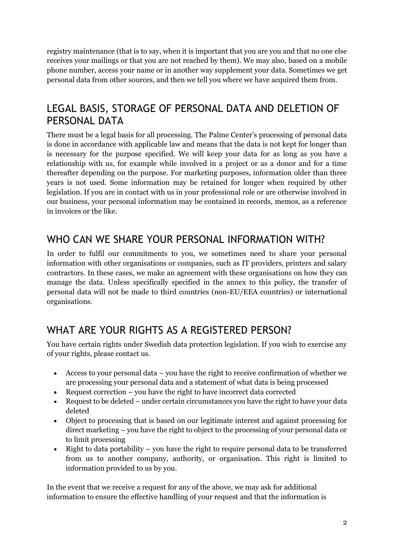registry maintenance (that is to say, when it is important that you are you and that no one else receives your mailings or that you are not reached by them). We may also, based on a mobile phone number, access your name or in another way supplement your data. Sometimes we get personal data from other sources, and then we tell you where we have acquired them from.

### LEGAL BASIS, STORAGE OF PERSONAL DATA AND DELETION OF PERSONAL DATA

There must be a legal basis for all processing. The Palme Center's processing of personal data is done in accordance with applicable law and means that the data is not kept for longer than is necessary for the purpose specified. We will keep your data for as long as you have a relationship with us, for example while involved in a project or as a donor and for a time thereafter depending on the purpose. For marketing purposes, information older than three years is not used. Some information may be retained for longer when required by other legislation. If you are in contact with us in your professional role or are otherwise involved in our business, your personal information may be contained in records, memos, as a reference in invoices or the like.

### WHO CAN WE SHARE YOUR PERSONAL INFORMATION WITH?

In order to fulfil our commitments to you, we sometimes need to share your personal information with other organisations or companies, such as IT providers, printers and salary contractors. In these cases, we make an agreement with these organisations on how they can manage the data. Unless specifically specified in the annex to this policy, the transfer of personal data will not be made to third countries (non-EU/EEA countries) or international organisations.

# WHAT ARE YOUR RIGHTS AS A REGISTERED PERSON?

You have certain rights under Swedish data protection legislation. If you wish to exercise any of your rights, please contact us.

- Access to your personal data you have the right to receive confirmation of whether we are processing your personal data and a statement of what data is being processed
- Request correction you have the right to have incorrect data corrected
- Request to be deleted under certain circumstances you have the right to have your data deleted
- Object to processing that is based on our legitimate interest and against processing for direct marketing – you have the right to object to the processing of your personal data or to limit processing
- Right to data portability you have the right to require personal data to be transferred from us to another company, authority, or organisation. This right is limited to information provided to us by you.

In the event that we receive a request for any of the above, we may ask for additional information to ensure the effective handling of your request and that the information is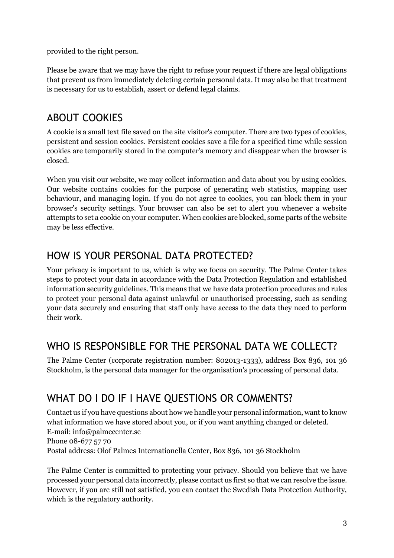provided to the right person.

Please be aware that we may have the right to refuse your request if there are legal obligations that prevent us from immediately deleting certain personal data. It may also be that treatment is necessary for us to establish, assert or defend legal claims.

# ABOUT COOKIES

A cookie is a small text file saved on the site visitor's computer. There are two types of cookies, persistent and session cookies. Persistent cookies save a file for a specified time while session cookies are temporarily stored in the computer's memory and disappear when the browser is closed.

When you visit our website, we may collect information and data about you by using cookies. Our website contains cookies for the purpose of generating web statistics, mapping user behaviour, and managing login. If you do not agree to cookies, you can block them in your browser's security settings. Your browser can also be set to alert you whenever a website attempts to set a cookie on your computer. When cookies are blocked, some parts of the website may be less effective.

### HOW IS YOUR PERSONAL DATA PROTECTED?

Your privacy is important to us, which is why we focus on security. The Palme Center takes steps to protect your data in accordance with the Data Protection Regulation and established information security guidelines. This means that we have data protection procedures and rules to protect your personal data against unlawful or unauthorised processing, such as sending your data securely and ensuring that staff only have access to the data they need to perform their work.

# WHO IS RESPONSIBLE FOR THE PERSONAL DATA WE COLLECT?

The Palme Center (corporate registration number: 802013-1333), address Box 836, 101 36 Stockholm, is the personal data manager for the organisation's processing of personal data.

# WHAT DO I DO IF I HAVE QUESTIONS OR COMMENTS?

Contact us if you have questions about how we handle your personal information, want to know what information we have stored about you, or if you want anything changed or deleted. E-mail: info@palmecenter.se Phone 08-677 57 70 Postal address: Olof Palmes Internationella Center, Box 836, 101 36 Stockholm

The Palme Center is committed to protecting your privacy. Should you believe that we have processed your personal data incorrectly, please contact us first so that we can resolve the issue. However, if you are still not satisfied, you can contact the Swedish Data Protection Authority, which is the regulatory authority.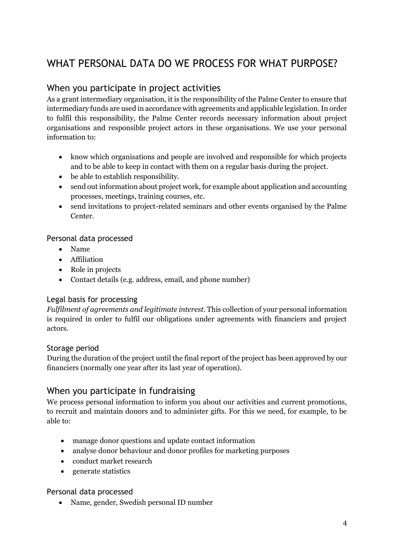# WHAT PERSONAL DATA DO WE PROCESS FOR WHAT PURPOSE?

### When you participate in project activities

As a grant intermediary organisation, it is the responsibility of the Palme Center to ensure that intermediary funds are used in accordance with agreements and applicable legislation. In order to fulfil this responsibility, the Palme Center records necessary information about project organisations and responsible project actors in these organisations. We use your personal information to:

- know which organisations and people are involved and responsible for which projects and to be able to keep in contact with them on a regular basis during the project.
- be able to establish responsibility.
- send out information about project work, for example about application and accounting processes, meetings, training courses, etc.
- send invitations to project-related seminars and other events organised by the Palme Center.

#### Personal data processed

- Name
- Affiliation
- Role in projects
- Contact details (e.g. address, email, and phone number)

#### Legal basis for processing

*Fulfilment of agreements and legitimate interest.* This collection of your personal information is required in order to fulfil our obligations under agreements with financiers and project actors.

#### Storage period

During the duration of the project until the final report of the project has been approved by our financiers (normally one year after its last year of operation).

### When you participate in fundraising

We process personal information to inform you about our activities and current promotions, to recruit and maintain donors and to administer gifts. For this we need, for example, to be able to:

- manage donor questions and update contact information
- analyse donor behaviour and donor profiles for marketing purposes
- conduct market research
- generate statistics

#### Personal data processed

• Name, gender, Swedish personal ID number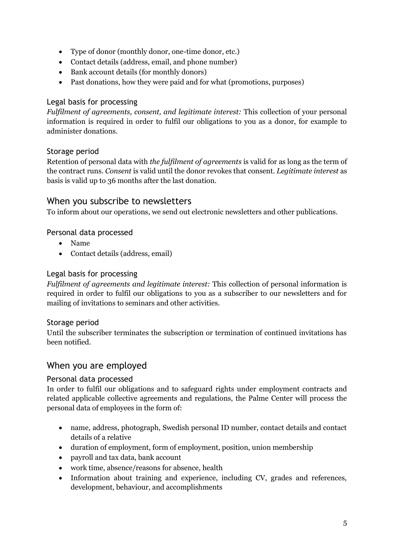- Type of donor (monthly donor, one-time donor, etc.)
- Contact details (address, email, and phone number)
- Bank account details (for monthly donors)
- Past donations, how they were paid and for what (promotions, purposes)

#### Legal basis for processing

*Fulfilment of agreements, consent, and legitimate interest:* This collection of your personal information is required in order to fulfil our obligations to you as a donor, for example to administer donations.

#### Storage period

Retention of personal data with *the fulfilment of agreements* is valid for as long as the term of the contract runs. *Consent* is valid until the donor revokes that consent. *Legitimate interest* as basis is valid up to 36 months after the last donation.

### When you subscribe to newsletters

To inform about our operations, we send out electronic newsletters and other publications.

#### Personal data processed

- Name
- Contact details (address, email)

#### Legal basis for processing

*Fulfilment of agreements and legitimate interest:* This collection of personal information is required in order to fulfil our obligations to you as a subscriber to our newsletters and for mailing of invitations to seminars and other activities.

#### Storage period

Until the subscriber terminates the subscription or termination of continued invitations has been notified.

### When you are employed

#### Personal data processed

In order to fulfil our obligations and to safeguard rights under employment contracts and related applicable collective agreements and regulations, the Palme Center will process the personal data of employees in the form of:

- name, address, photograph, Swedish personal ID number, contact details and contact details of a relative
- duration of employment, form of employment, position, union membership
- payroll and tax data, bank account
- work time, absence/reasons for absence, health
- Information about training and experience, including CV, grades and references, development, behaviour, and accomplishments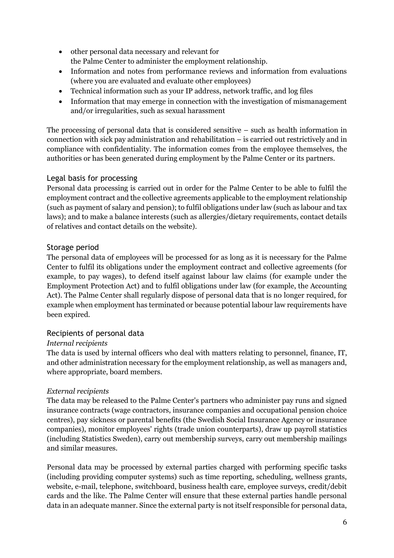- other personal data necessary and relevant for the Palme Center to administer the employment relationship.
- Information and notes from performance reviews and information from evaluations (where you are evaluated and evaluate other employees)
- Technical information such as your IP address, network traffic, and log files
- Information that may emerge in connection with the investigation of mismanagement and/or irregularities, such as sexual harassment

The processing of personal data that is considered sensitive – such as health information in connection with sick pay administration and rehabilitation – is carried out restrictively and in compliance with confidentiality. The information comes from the employee themselves, the authorities or has been generated during employment by the Palme Center or its partners.

#### Legal basis for processing

Personal data processing is carried out in order for the Palme Center to be able to fulfil the employment contract and the collective agreements applicable to the employment relationship (such as payment of salary and pension); to fulfil obligations under law (such as labour and tax laws); and to make a balance interests (such as allergies/dietary requirements, contact details of relatives and contact details on the website).

#### Storage period

The personal data of employees will be processed for as long as it is necessary for the Palme Center to fulfil its obligations under the employment contract and collective agreements (for example, to pay wages), to defend itself against labour law claims (for example under the Employment Protection Act) and to fulfil obligations under law (for example, the Accounting Act). The Palme Center shall regularly dispose of personal data that is no longer required, for example when employment has terminated or because potential labour law requirements have been expired.

#### Recipients of personal data

#### *Internal recipients*

The data is used by internal officers who deal with matters relating to personnel, finance, IT, and other administration necessary for the employment relationship, as well as managers and, where appropriate, board members.

#### *External recipients*

The data may be released to the Palme Center's partners who administer pay runs and signed insurance contracts (wage contractors, insurance companies and occupational pension choice centres), pay sickness or parental benefits (the Swedish Social Insurance Agency or insurance companies), monitor employees' rights (trade union counterparts), draw up payroll statistics (including Statistics Sweden), carry out membership surveys, carry out membership mailings and similar measures.

Personal data may be processed by external parties charged with performing specific tasks (including providing computer systems) such as time reporting, scheduling, wellness grants, website, e-mail, telephone, switchboard, business health care, employee surveys, credit/debit cards and the like. The Palme Center will ensure that these external parties handle personal data in an adequate manner. Since the external party is not itself responsible for personal data,